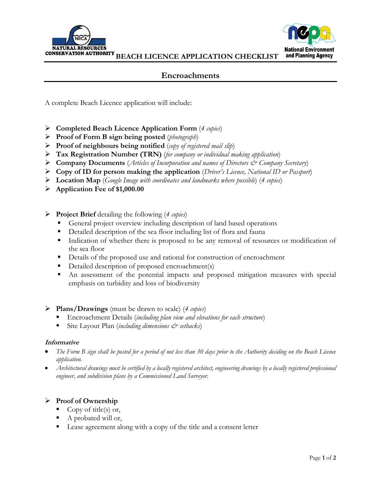



# **Encroachments**

A complete Beach Licence application will include:

- **Completed Beach Licence Application Form** (*4 copies*)
- **Proof of Form B sign being posted** (*photograph*)
- **Proof of neighbours being notified** (*copy of registered mail slip*)
- **Tax Registration Number (TRN)** (*for company or individual making application*)
- **Company Documents** (*Articles of Incorporation and names of Directors & Company Secretary*)
- **Copy of ID for person making the application** (*Driver's Licence, National ID or Passport*)
- **Location Map** (*Google Image with coordinates and landmarks where possible*) (*4 copies*)
- **Application Fee of \$1,000.00**
- **Project Brief** detailing the following (*4 copies*)
	- General project overview including description of land based operations
	- Detailed description of the sea floor including list of flora and fauna
	- Indication of whether there is proposed to be any removal of resources or modification of the sea floor
	- Details of the proposed use and rational for construction of encroachment
	- Detailed description of proposed encroachment(s)
	- An assessment of the potential impacts and proposed mitigation measures with special emphasis on turbidity and loss of biodiversity

### **Plans/Drawings** (must be drawn to scale) (*4 copies*)

- Encroachment Details (*including plan view and elevations for each structure*)
- Site Layout Plan (*including dimensions*  $\mathcal{O}^*$  setbacks)

#### **Informative**

- *The Form B sign shall be posted for a period of not less than 30 days prior to the Authority deciding on the Beach Licence application.*
- *Architectural drawings must be certified by a locally registered architect, engineering drawings by a locally registered professional engineer, and subdivision plans by a Commissioned Land Surveyor.*

## **Proof of Ownership**

- Copy of title(s) or,
- A probated will or,
- Lease agreement along with a copy of the title and a consent letter